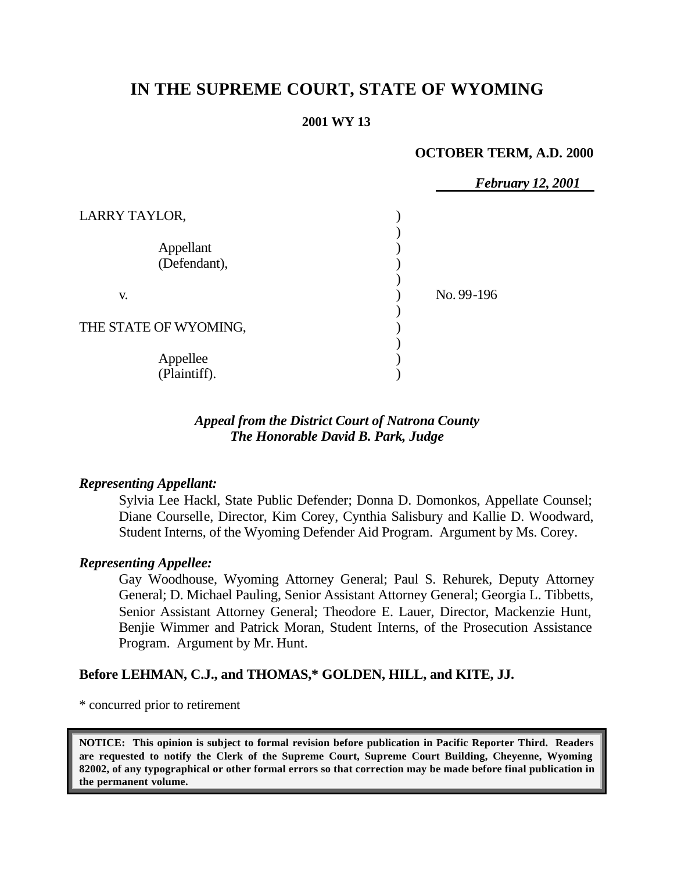# **IN THE SUPREME COURT, STATE OF WYOMING**

#### **2001 WY 13**

#### **OCTOBER TERM, A.D. 2000**

|                           | <b>February 12, 2001</b> |
|---------------------------|--------------------------|
| LARRY TAYLOR,             |                          |
| Appellant<br>(Defendant), |                          |
| V.                        | No. 99-196               |
| THE STATE OF WYOMING,     |                          |
| Appellee<br>(Plaintiff).  |                          |

## *Appeal from the District Court of Natrona County The Honorable David B. Park, Judge*

#### *Representing Appellant:*

Sylvia Lee Hackl, State Public Defender; Donna D. Domonkos, Appellate Counsel; Diane Courselle, Director, Kim Corey, Cynthia Salisbury and Kallie D. Woodward, Student Interns, of the Wyoming Defender Aid Program. Argument by Ms. Corey.

#### *Representing Appellee:*

Gay Woodhouse, Wyoming Attorney General; Paul S. Rehurek, Deputy Attorney General; D. Michael Pauling, Senior Assistant Attorney General; Georgia L. Tibbetts, Senior Assistant Attorney General; Theodore E. Lauer, Director, Mackenzie Hunt, Benjie Wimmer and Patrick Moran, Student Interns, of the Prosecution Assistance Program. Argument by Mr. Hunt.

#### **Before LEHMAN, C.J., and THOMAS,\* GOLDEN, HILL, and KITE, JJ.**

\* concurred prior to retirement

**NOTICE: This opinion is subject to formal revision before publication in Pacific Reporter Third. Readers are requested to notify the Clerk of the Supreme Court, Supreme Court Building, Cheyenne, Wyoming 82002, of any typographical or other formal errors so that correction may be made before final publication in the permanent volume.**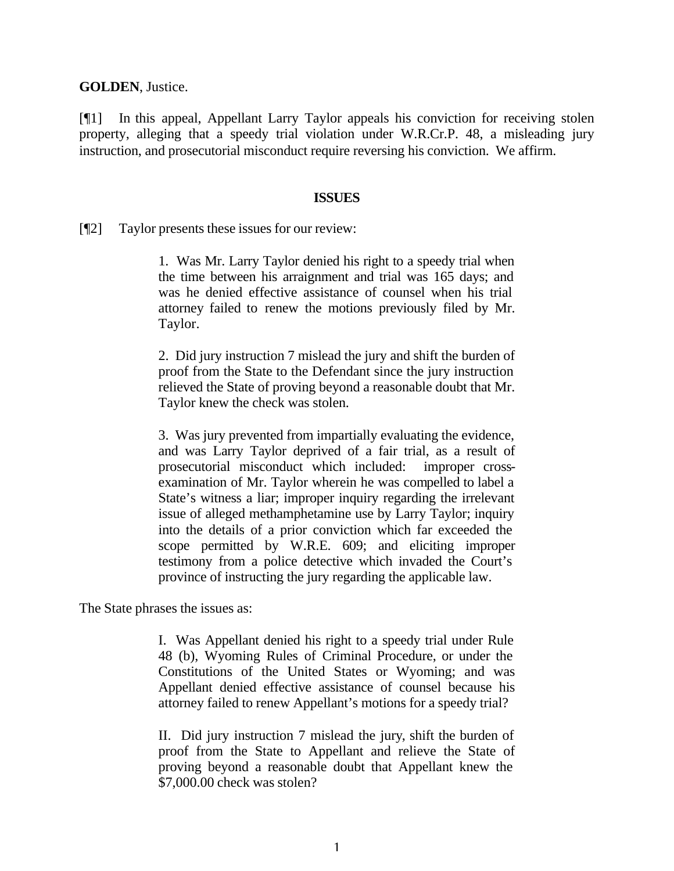**GOLDEN**, Justice.

[¶1] In this appeal, Appellant Larry Taylor appeals his conviction for receiving stolen property, alleging that a speedy trial violation under W.R.Cr.P. 48, a misleading jury instruction, and prosecutorial misconduct require reversing his conviction. We affirm.

#### **ISSUES**

[¶2] Taylor presents these issues for our review:

1. Was Mr. Larry Taylor denied his right to a speedy trial when the time between his arraignment and trial was 165 days; and was he denied effective assistance of counsel when his trial attorney failed to renew the motions previously filed by Mr. Taylor.

2. Did jury instruction 7 mislead the jury and shift the burden of proof from the State to the Defendant since the jury instruction relieved the State of proving beyond a reasonable doubt that Mr. Taylor knew the check was stolen.

3. Was jury prevented from impartially evaluating the evidence, and was Larry Taylor deprived of a fair trial, as a result of prosecutorial misconduct which included: improper crossexamination of Mr. Taylor wherein he was compelled to label a State's witness a liar; improper inquiry regarding the irrelevant issue of alleged methamphetamine use by Larry Taylor; inquiry into the details of a prior conviction which far exceeded the scope permitted by W.R.E. 609; and eliciting improper testimony from a police detective which invaded the Court's province of instructing the jury regarding the applicable law.

The State phrases the issues as:

I. Was Appellant denied his right to a speedy trial under Rule 48 (b), Wyoming Rules of Criminal Procedure, or under the Constitutions of the United States or Wyoming; and was Appellant denied effective assistance of counsel because his attorney failed to renew Appellant's motions for a speedy trial?

II. Did jury instruction 7 mislead the jury, shift the burden of proof from the State to Appellant and relieve the State of proving beyond a reasonable doubt that Appellant knew the \$7,000.00 check was stolen?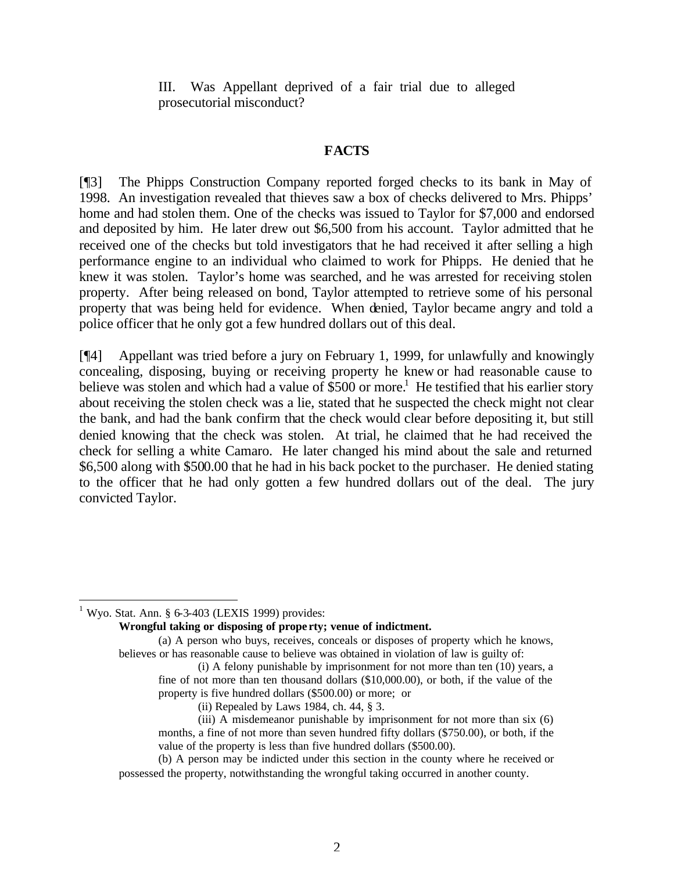III. Was Appellant deprived of a fair trial due to alleged prosecutorial misconduct?

## **FACTS**

[¶3] The Phipps Construction Company reported forged checks to its bank in May of 1998. An investigation revealed that thieves saw a box of checks delivered to Mrs. Phipps' home and had stolen them. One of the checks was issued to Taylor for \$7,000 and endorsed and deposited by him. He later drew out \$6,500 from his account. Taylor admitted that he received one of the checks but told investigators that he had received it after selling a high performance engine to an individual who claimed to work for Phipps. He denied that he knew it was stolen. Taylor's home was searched, and he was arrested for receiving stolen property. After being released on bond, Taylor attempted to retrieve some of his personal property that was being held for evidence. When denied, Taylor became angry and told a police officer that he only got a few hundred dollars out of this deal.

[¶4] Appellant was tried before a jury on February 1, 1999, for unlawfully and knowingly concealing, disposing, buying or receiving property he knew or had reasonable cause to believe was stolen and which had a value of  $$500$  or more.<sup>1</sup> He testified that his earlier story about receiving the stolen check was a lie, stated that he suspected the check might not clear the bank, and had the bank confirm that the check would clear before depositing it, but still denied knowing that the check was stolen. At trial, he claimed that he had received the check for selling a white Camaro. He later changed his mind about the sale and returned \$6,500 along with \$500.00 that he had in his back pocket to the purchaser. He denied stating to the officer that he had only gotten a few hundred dollars out of the deal. The jury convicted Taylor.

**Wrongful taking or disposing of prope rty; venue of indictment.**

l  $1$  Wyo. Stat. Ann. § 6-3-403 (LEXIS 1999) provides:

<sup>(</sup>a) A person who buys, receives, conceals or disposes of property which he knows, believes or has reasonable cause to believe was obtained in violation of law is guilty of:

<sup>(</sup>i) A felony punishable by imprisonment for not more than ten (10) years, a fine of not more than ten thousand dollars (\$10,000.00), or both, if the value of the property is five hundred dollars (\$500.00) or more; or

<sup>(</sup>ii) Repealed by Laws 1984, ch. 44, § 3.

<sup>(</sup>iii) A misdemeanor punishable by imprisonment for not more than six (6) months, a fine of not more than seven hundred fifty dollars (\$750.00), or both, if the value of the property is less than five hundred dollars (\$500.00).

<sup>(</sup>b) A person may be indicted under this section in the county where he received or possessed the property, notwithstanding the wrongful taking occurred in another county.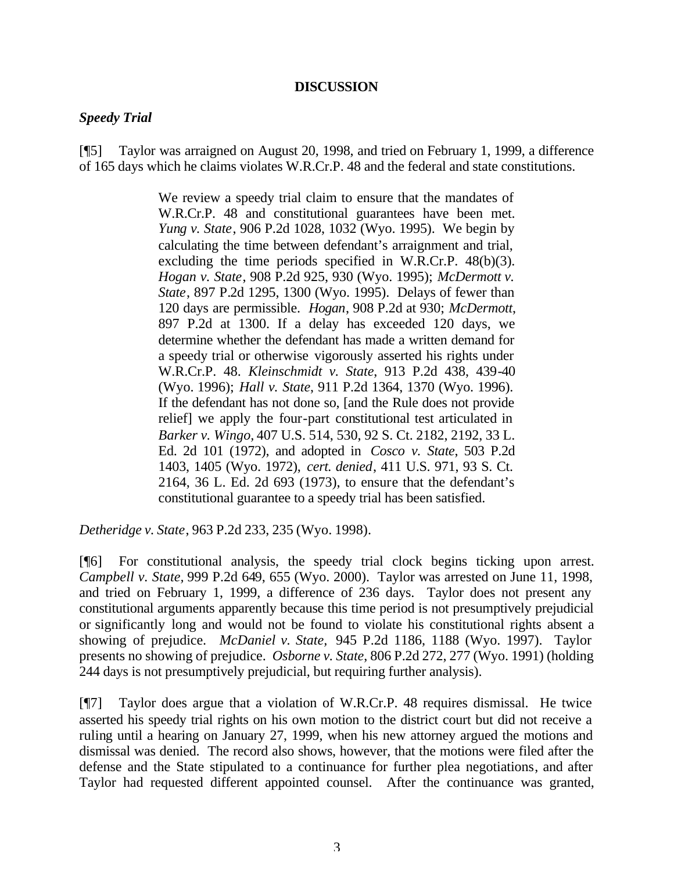#### **DISCUSSION**

#### *Speedy Trial*

[¶5] Taylor was arraigned on August 20, 1998, and tried on February 1, 1999, a difference of 165 days which he claims violates W.R.Cr.P. 48 and the federal and state constitutions.

> We review a speedy trial claim to ensure that the mandates of W.R.Cr.P. 48 and constitutional guarantees have been met. *Yung v. State*, 906 P.2d 1028, 1032 (Wyo. 1995). We begin by calculating the time between defendant's arraignment and trial, excluding the time periods specified in W.R.Cr.P. 48(b)(3). *Hogan v. State*, 908 P.2d 925, 930 (Wyo. 1995); *McDermott v. State*, 897 P.2d 1295, 1300 (Wyo. 1995). Delays of fewer than 120 days are permissible. *Hogan*, 908 P.2d at 930; *McDermott*, 897 P.2d at 1300. If a delay has exceeded 120 days, we determine whether the defendant has made a written demand for a speedy trial or otherwise vigorously asserted his rights under W.R.Cr.P. 48. *Kleinschmidt v. State*, 913 P.2d 438, 439-40 (Wyo. 1996); *Hall v. State*, 911 P.2d 1364, 1370 (Wyo. 1996). If the defendant has not done so, [and the Rule does not provide relief] we apply the four-part constitutional test articulated in *Barker v. Wingo,* 407 U.S. 514, 530, 92 S. Ct. 2182, 2192, 33 L. Ed. 2d 101 (1972), and adopted in *Cosco v. State*, 503 P.2d 1403, 1405 (Wyo. 1972), *cert. denied*, 411 U.S. 971, 93 S. Ct. 2164, 36 L. Ed. 2d 693 (1973), to ensure that the defendant's constitutional guarantee to a speedy trial has been satisfied.

*Detheridge v. State*, 963 P.2d 233, 235 (Wyo. 1998).

[¶6] For constitutional analysis, the speedy trial clock begins ticking upon arrest. *Campbell v. State,* 999 P.2d 649, 655 (Wyo. 2000). Taylor was arrested on June 11, 1998, and tried on February 1, 1999, a difference of 236 days. Taylor does not present any constitutional arguments apparently because this time period is not presumptively prejudicial or significantly long and would not be found to violate his constitutional rights absent a showing of prejudice. *McDaniel v. State,* 945 P.2d 1186, 1188 (Wyo. 1997). Taylor presents no showing of prejudice. *Osborne v. State*, 806 P.2d 272, 277 (Wyo. 1991) (holding 244 days is not presumptively prejudicial, but requiring further analysis).

[¶7] Taylor does argue that a violation of W.R.Cr.P. 48 requires dismissal. He twice asserted his speedy trial rights on his own motion to the district court but did not receive a ruling until a hearing on January 27, 1999, when his new attorney argued the motions and dismissal was denied. The record also shows, however, that the motions were filed after the defense and the State stipulated to a continuance for further plea negotiations, and after Taylor had requested different appointed counsel. After the continuance was granted,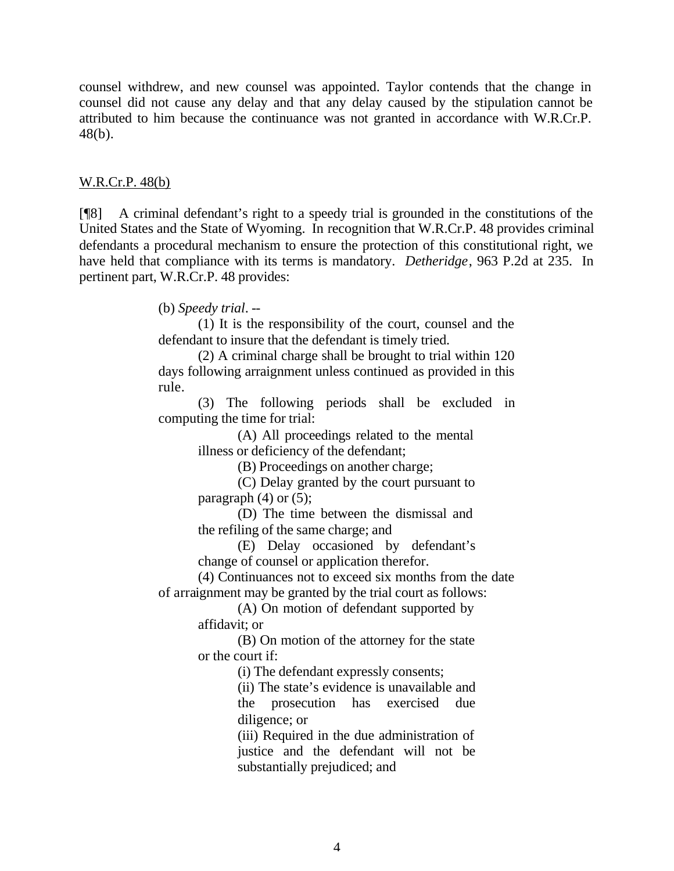counsel withdrew, and new counsel was appointed. Taylor contends that the change in counsel did not cause any delay and that any delay caused by the stipulation cannot be attributed to him because the continuance was not granted in accordance with W.R.Cr.P. 48(b).

#### W.R.Cr.P. 48(b)

[¶8] A criminal defendant's right to a speedy trial is grounded in the constitutions of the United States and the State of Wyoming. In recognition that W.R.Cr.P. 48 provides criminal defendants a procedural mechanism to ensure the protection of this constitutional right, we have held that compliance with its terms is mandatory. *Detheridge*, 963 P.2d at 235. In pertinent part, W.R.Cr.P. 48 provides:

(b) *Speedy trial*. --

(1) It is the responsibility of the court, counsel and the defendant to insure that the defendant is timely tried.

(2) A criminal charge shall be brought to trial within 120 days following arraignment unless continued as provided in this rule.

(3) The following periods shall be excluded in computing the time for trial:

(A) All proceedings related to the mental illness or deficiency of the defendant;

(B) Proceedings on another charge;

(C) Delay granted by the court pursuant to paragraph  $(4)$  or  $(5)$ ;

(D) The time between the dismissal and the refiling of the same charge; and

(E) Delay occasioned by defendant's change of counsel or application therefor.

(4) Continuances not to exceed six months from the date of arraignment may be granted by the trial court as follows:

> (A) On motion of defendant supported by affidavit; or

> (B) On motion of the attorney for the state or the court if:

> > (i) The defendant expressly consents;

(ii) The state's evidence is unavailable and the prosecution has exercised due diligence; or

(iii) Required in the due administration of justice and the defendant will not be substantially prejudiced; and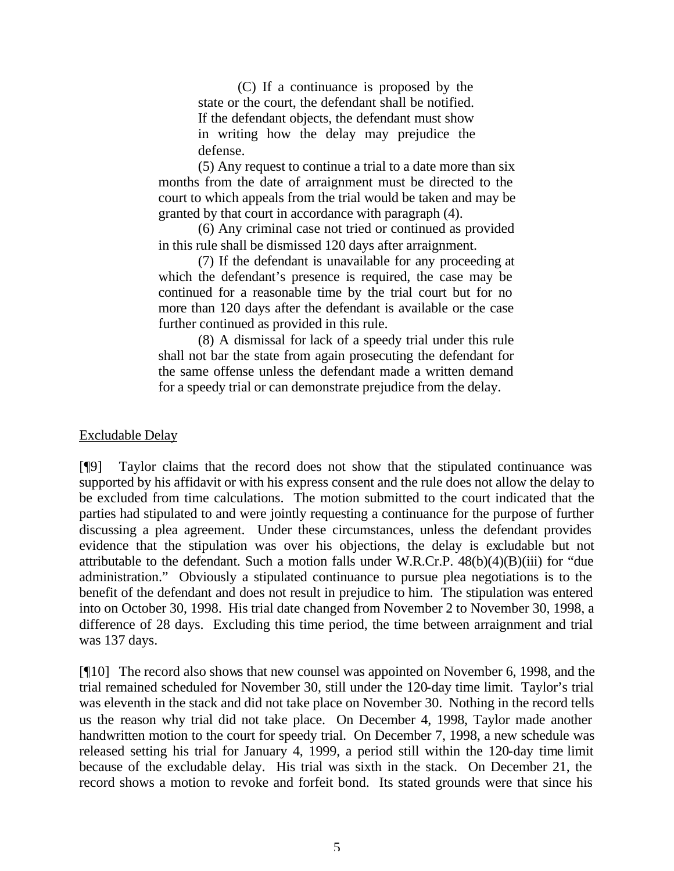(C) If a continuance is proposed by the state or the court, the defendant shall be notified. If the defendant objects, the defendant must show in writing how the delay may prejudice the defense.

(5) Any request to continue a trial to a date more than six months from the date of arraignment must be directed to the court to which appeals from the trial would be taken and may be granted by that court in accordance with paragraph (4).

(6) Any criminal case not tried or continued as provided in this rule shall be dismissed 120 days after arraignment.

(7) If the defendant is unavailable for any proceeding at which the defendant's presence is required, the case may be continued for a reasonable time by the trial court but for no more than 120 days after the defendant is available or the case further continued as provided in this rule.

(8) A dismissal for lack of a speedy trial under this rule shall not bar the state from again prosecuting the defendant for the same offense unless the defendant made a written demand for a speedy trial or can demonstrate prejudice from the delay.

#### Excludable Delay

[¶9] Taylor claims that the record does not show that the stipulated continuance was supported by his affidavit or with his express consent and the rule does not allow the delay to be excluded from time calculations. The motion submitted to the court indicated that the parties had stipulated to and were jointly requesting a continuance for the purpose of further discussing a plea agreement. Under these circumstances, unless the defendant provides evidence that the stipulation was over his objections, the delay is excludable but not attributable to the defendant. Such a motion falls under W.R.Cr.P. 48(b)(4)(B)(iii) for "due administration." Obviously a stipulated continuance to pursue plea negotiations is to the benefit of the defendant and does not result in prejudice to him. The stipulation was entered into on October 30, 1998. His trial date changed from November 2 to November 30, 1998, a difference of 28 days. Excluding this time period, the time between arraignment and trial was 137 days.

[¶10] The record also shows that new counsel was appointed on November 6, 1998, and the trial remained scheduled for November 30, still under the 120-day time limit. Taylor's trial was eleventh in the stack and did not take place on November 30. Nothing in the record tells us the reason why trial did not take place. On December 4, 1998, Taylor made another handwritten motion to the court for speedy trial. On December 7, 1998, a new schedule was released setting his trial for January 4, 1999, a period still within the 120-day time limit because of the excludable delay. His trial was sixth in the stack. On December 21, the record shows a motion to revoke and forfeit bond. Its stated grounds were that since his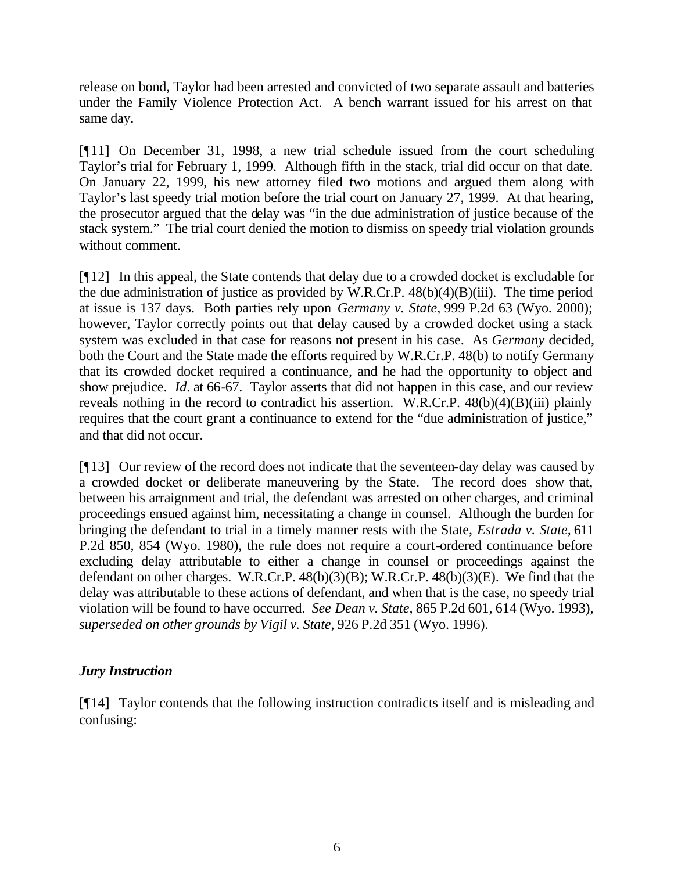release on bond, Taylor had been arrested and convicted of two separate assault and batteries under the Family Violence Protection Act. A bench warrant issued for his arrest on that same day.

[¶11] On December 31, 1998, a new trial schedule issued from the court scheduling Taylor's trial for February 1, 1999. Although fifth in the stack, trial did occur on that date. On January 22, 1999, his new attorney filed two motions and argued them along with Taylor's last speedy trial motion before the trial court on January 27, 1999. At that hearing, the prosecutor argued that the delay was "in the due administration of justice because of the stack system." The trial court denied the motion to dismiss on speedy trial violation grounds without comment.

[¶12] In this appeal, the State contends that delay due to a crowded docket is excludable for the due administration of justice as provided by W.R.Cr.P. 48(b)(4)(B)(iii). The time period at issue is 137 days. Both parties rely upon *Germany v. State,* 999 P.2d 63 (Wyo. 2000); however, Taylor correctly points out that delay caused by a crowded docket using a stack system was excluded in that case for reasons not present in his case. As *Germany* decided, both the Court and the State made the efforts required by W.R.Cr.P. 48(b) to notify Germany that its crowded docket required a continuance, and he had the opportunity to object and show prejudice. *Id.* at 66-67. Taylor asserts that did not happen in this case, and our review reveals nothing in the record to contradict his assertion. W.R.Cr.P.  $48(b)(4)(B)(iii)$  plainly requires that the court grant a continuance to extend for the "due administration of justice," and that did not occur.

[¶13] Our review of the record does not indicate that the seventeen-day delay was caused by a crowded docket or deliberate maneuvering by the State. The record does show that, between his arraignment and trial, the defendant was arrested on other charges, and criminal proceedings ensued against him, necessitating a change in counsel. Although the burden for bringing the defendant to trial in a timely manner rests with the State, *Estrada v. State,* 611 P.2d 850, 854 (Wyo. 1980), the rule does not require a court-ordered continuance before excluding delay attributable to either a change in counsel or proceedings against the defendant on other charges. W.R.Cr.P.  $48(b)(3)(B)$ ; W.R.Cr.P.  $48(b)(3)(E)$ . We find that the delay was attributable to these actions of defendant, and when that is the case, no speedy trial violation will be found to have occurred. *See Dean v. State,* 865 P.2d 601, 614 (Wyo. 1993), *superseded on other grounds by Vigil v. State*, 926 P.2d 351 (Wyo. 1996).

## *Jury Instruction*

[¶14] Taylor contends that the following instruction contradicts itself and is misleading and confusing: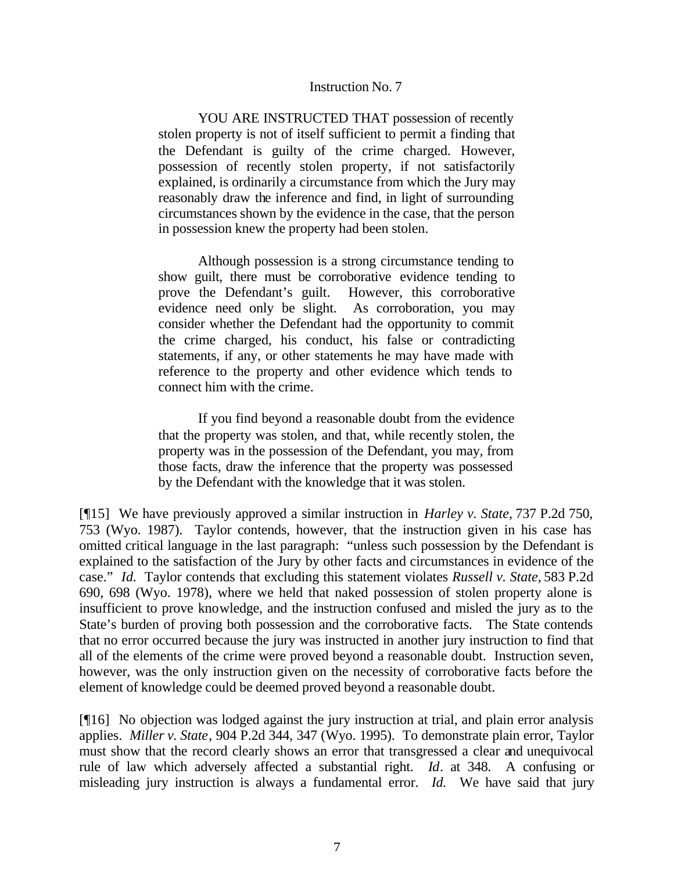#### Instruction No. 7

YOU ARE INSTRUCTED THAT possession of recently stolen property is not of itself sufficient to permit a finding that the Defendant is guilty of the crime charged. However, possession of recently stolen property, if not satisfactorily explained, is ordinarily a circumstance from which the Jury may reasonably draw the inference and find, in light of surrounding circumstances shown by the evidence in the case, that the person in possession knew the property had been stolen.

Although possession is a strong circumstance tending to show guilt, there must be corroborative evidence tending to prove the Defendant's guilt. However, this corroborative evidence need only be slight. As corroboration, you may consider whether the Defendant had the opportunity to commit the crime charged, his conduct, his false or contradicting statements, if any, or other statements he may have made with reference to the property and other evidence which tends to connect him with the crime.

If you find beyond a reasonable doubt from the evidence that the property was stolen, and that, while recently stolen, the property was in the possession of the Defendant, you may, from those facts, draw the inference that the property was possessed by the Defendant with the knowledge that it was stolen.

[¶15] We have previously approved a similar instruction in *Harley v. State,* 737 P.2d 750, 753 (Wyo. 1987). Taylor contends, however, that the instruction given in his case has omitted critical language in the last paragraph: "unless such possession by the Defendant is explained to the satisfaction of the Jury by other facts and circumstances in evidence of the case." *Id.* Taylor contends that excluding this statement violates *Russell v. State,* 583 P.2d 690, 698 (Wyo. 1978), where we held that naked possession of stolen property alone is insufficient to prove knowledge, and the instruction confused and misled the jury as to the State's burden of proving both possession and the corroborative facts. The State contends that no error occurred because the jury was instructed in another jury instruction to find that all of the elements of the crime were proved beyond a reasonable doubt. Instruction seven, however, was the only instruction given on the necessity of corroborative facts before the element of knowledge could be deemed proved beyond a reasonable doubt.

[¶16] No objection was lodged against the jury instruction at trial, and plain error analysis applies. *Miller v. State*, 904 P.2d 344, 347 (Wyo. 1995). To demonstrate plain error, Taylor must show that the record clearly shows an error that transgressed a clear and unequivocal rule of law which adversely affected a substantial right. *Id*. at 348. A confusing or misleading jury instruction is always a fundamental error. *Id.* We have said that jury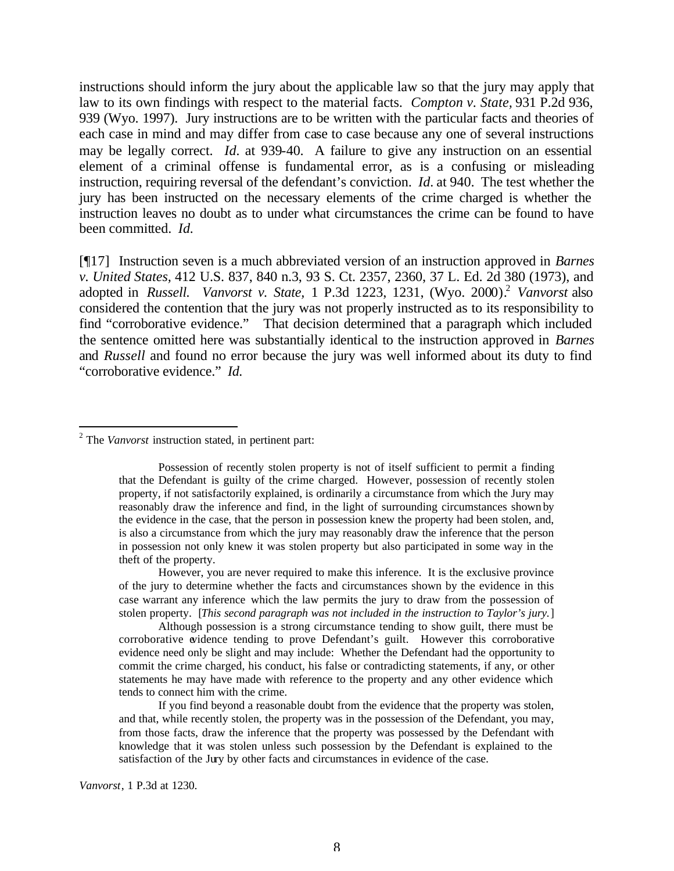instructions should inform the jury about the applicable law so that the jury may apply that law to its own findings with respect to the material facts. *Compton v. State,* 931 P.2d 936, 939 (Wyo. 1997). Jury instructions are to be written with the particular facts and theories of each case in mind and may differ from case to case because any one of several instructions may be legally correct. *Id.* at 939-40. A failure to give any instruction on an essential element of a criminal offense is fundamental error, as is a confusing or misleading instruction, requiring reversal of the defendant's conviction. *Id.* at 940. The test whether the jury has been instructed on the necessary elements of the crime charged is whether the instruction leaves no doubt as to under what circumstances the crime can be found to have been committed. *Id.*

[¶17] Instruction seven is a much abbreviated version of an instruction approved in *Barnes v. United States,* 412 U.S. 837, 840 n.3, 93 S. Ct. 2357, 2360, 37 L. Ed. 2d 380 (1973), and adopted in *Russell. Vanvorst v. State*, 1 P.3d 1223, 1231, (Wyo. 2000).<sup>2</sup> *Vanvorst* also considered the contention that the jury was not properly instructed as to its responsibility to find "corroborative evidence." That decision determined that a paragraph which included the sentence omitted here was substantially identical to the instruction approved in *Barnes* and *Russell* and found no error because the jury was well informed about its duty to find "corroborative evidence." *Id.* 

l

However, you are never required to make this inference. It is the exclusive province of the jury to determine whether the facts and circumstances shown by the evidence in this case warrant any inference which the law permits the jury to draw from the possession of stolen property. [*This second paragraph was not included in the instruction to Taylor's jury.*]

Although possession is a strong circumstance tending to show guilt, there must be corroborative evidence tending to prove Defendant's guilt. However this corroborative evidence need only be slight and may include: Whether the Defendant had the opportunity to commit the crime charged, his conduct, his false or contradicting statements, if any, or other statements he may have made with reference to the property and any other evidence which tends to connect him with the crime.

If you find beyond a reasonable doubt from the evidence that the property was stolen, and that, while recently stolen, the property was in the possession of the Defendant, you may, from those facts, draw the inference that the property was possessed by the Defendant with knowledge that it was stolen unless such possession by the Defendant is explained to the satisfaction of the Jury by other facts and circumstances in evidence of the case.

*Vanvorst*, 1 P.3d at 1230.

<sup>2</sup> The *Vanvorst* instruction stated, in pertinent part:

Possession of recently stolen property is not of itself sufficient to permit a finding that the Defendant is guilty of the crime charged. However, possession of recently stolen property, if not satisfactorily explained, is ordinarily a circumstance from which the Jury may reasonably draw the inference and find, in the light of surrounding circumstances shown by the evidence in the case, that the person in possession knew the property had been stolen, and, is also a circumstance from which the jury may reasonably draw the inference that the person in possession not only knew it was stolen property but also participated in some way in the theft of the property.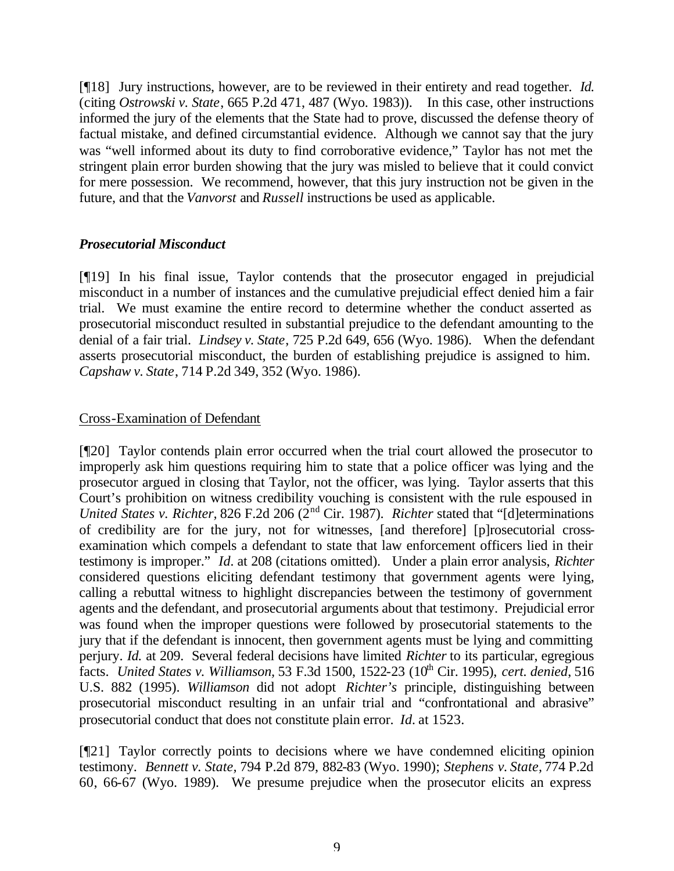[¶18] Jury instructions, however, are to be reviewed in their entirety and read together. *Id.*  (citing *Ostrowski v. State*, 665 P.2d 471, 487 (Wyo. 1983)). In this case, other instructions informed the jury of the elements that the State had to prove, discussed the defense theory of factual mistake, and defined circumstantial evidence. Although we cannot say that the jury was "well informed about its duty to find corroborative evidence," Taylor has not met the stringent plain error burden showing that the jury was misled to believe that it could convict for mere possession. We recommend, however, that this jury instruction not be given in the future, and that the *Vanvorst* and *Russell* instructions be used as applicable.

### *Prosecutorial Misconduct*

[¶19] In his final issue, Taylor contends that the prosecutor engaged in prejudicial misconduct in a number of instances and the cumulative prejudicial effect denied him a fair trial. We must examine the entire record to determine whether the conduct asserted as prosecutorial misconduct resulted in substantial prejudice to the defendant amounting to the denial of a fair trial. *Lindsey v. State*, 725 P.2d 649, 656 (Wyo. 1986). When the defendant asserts prosecutorial misconduct, the burden of establishing prejudice is assigned to him. *Capshaw v. State*, 714 P.2d 349, 352 (Wyo. 1986).

## Cross-Examination of Defendant

[¶20] Taylor contends plain error occurred when the trial court allowed the prosecutor to improperly ask him questions requiring him to state that a police officer was lying and the prosecutor argued in closing that Taylor, not the officer, was lying. Taylor asserts that this Court's prohibition on witness credibility vouching is consistent with the rule espoused in *United States v. Richter,* 826 F.2d 206 (2<sup>nd</sup> Cir. 1987). *Richter* stated that "[d]eterminations of credibility are for the jury, not for witnesses, [and therefore] [p]rosecutorial crossexamination which compels a defendant to state that law enforcement officers lied in their testimony is improper." *Id.* at 208 (citations omitted). Under a plain error analysis, *Richter* considered questions eliciting defendant testimony that government agents were lying, calling a rebuttal witness to highlight discrepancies between the testimony of government agents and the defendant, and prosecutorial arguments about that testimony. Prejudicial error was found when the improper questions were followed by prosecutorial statements to the jury that if the defendant is innocent, then government agents must be lying and committing perjury. *Id.* at 209. Several federal decisions have limited *Richter* to its particular, egregious facts. *United States v. Williamson,* 53 F.3d 1500, 1522-23 (10<sup>th</sup> Cir. 1995), *cert. denied*, 516 U.S. 882 (1995). *Williamson* did not adopt *Richter's* principle, distinguishing between prosecutorial misconduct resulting in an unfair trial and "confrontational and abrasive" prosecutorial conduct that does not constitute plain error. *Id.* at 1523.

[¶21] Taylor correctly points to decisions where we have condemned eliciting opinion testimony. *Bennett v. State,* 794 P.2d 879, 882-83 (Wyo. 1990); *Stephens v. State,* 774 P.2d 60, 66-67 (Wyo. 1989). We presume prejudice when the prosecutor elicits an express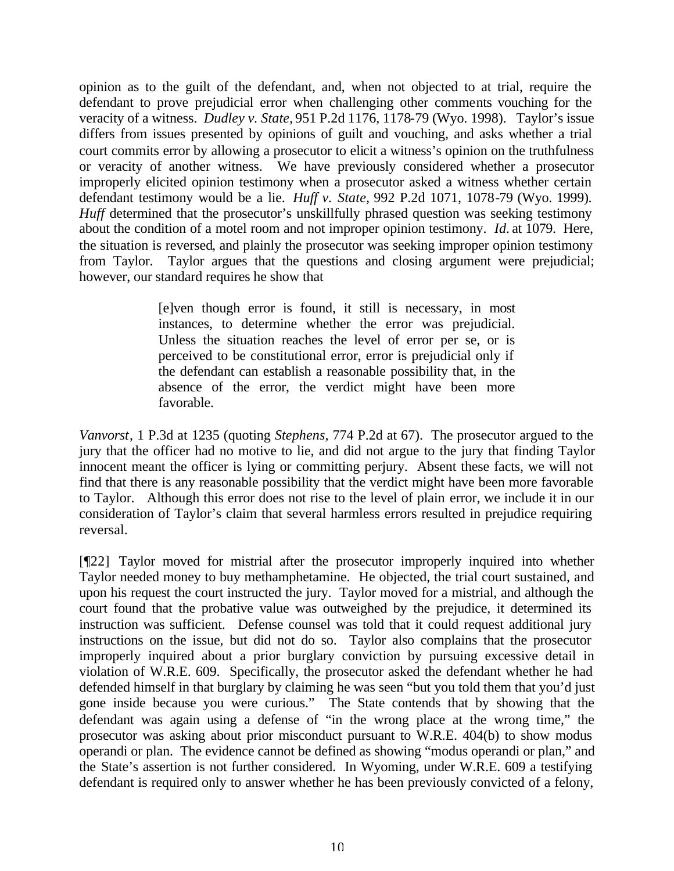opinion as to the guilt of the defendant, and, when not objected to at trial, require the defendant to prove prejudicial error when challenging other comments vouching for the veracity of a witness. *Dudley v. State,* 951 P.2d 1176, 1178-79 (Wyo. 1998). Taylor's issue differs from issues presented by opinions of guilt and vouching, and asks whether a trial court commits error by allowing a prosecutor to elicit a witness's opinion on the truthfulness or veracity of another witness. We have previously considered whether a prosecutor improperly elicited opinion testimony when a prosecutor asked a witness whether certain defendant testimony would be a lie. *Huff v. State,* 992 P.2d 1071, 1078-79 (Wyo. 1999). *Huff* determined that the prosecutor's unskillfully phrased question was seeking testimony about the condition of a motel room and not improper opinion testimony. *Id.* at 1079. Here, the situation is reversed, and plainly the prosecutor was seeking improper opinion testimony from Taylor. Taylor argues that the questions and closing argument were prejudicial; however, our standard requires he show that

> [e]ven though error is found, it still is necessary, in most instances, to determine whether the error was prejudicial. Unless the situation reaches the level of error per se, or is perceived to be constitutional error, error is prejudicial only if the defendant can establish a reasonable possibility that, in the absence of the error, the verdict might have been more favorable.

*Vanvorst*, 1 P.3d at 1235 (quoting *Stephens*, 774 P.2d at 67). The prosecutor argued to the jury that the officer had no motive to lie, and did not argue to the jury that finding Taylor innocent meant the officer is lying or committing perjury. Absent these facts, we will not find that there is any reasonable possibility that the verdict might have been more favorable to Taylor. Although this error does not rise to the level of plain error, we include it in our consideration of Taylor's claim that several harmless errors resulted in prejudice requiring reversal.

[¶22] Taylor moved for mistrial after the prosecutor improperly inquired into whether Taylor needed money to buy methamphetamine. He objected, the trial court sustained, and upon his request the court instructed the jury. Taylor moved for a mistrial, and although the court found that the probative value was outweighed by the prejudice, it determined its instruction was sufficient. Defense counsel was told that it could request additional jury instructions on the issue, but did not do so. Taylor also complains that the prosecutor improperly inquired about a prior burglary conviction by pursuing excessive detail in violation of W.R.E. 609. Specifically, the prosecutor asked the defendant whether he had defended himself in that burglary by claiming he was seen "but you told them that you'd just gone inside because you were curious." The State contends that by showing that the defendant was again using a defense of "in the wrong place at the wrong time," the prosecutor was asking about prior misconduct pursuant to W.R.E. 404(b) to show modus operandi or plan. The evidence cannot be defined as showing "modus operandi or plan," and the State's assertion is not further considered. In Wyoming, under W.R.E. 609 a testifying defendant is required only to answer whether he has been previously convicted of a felony,